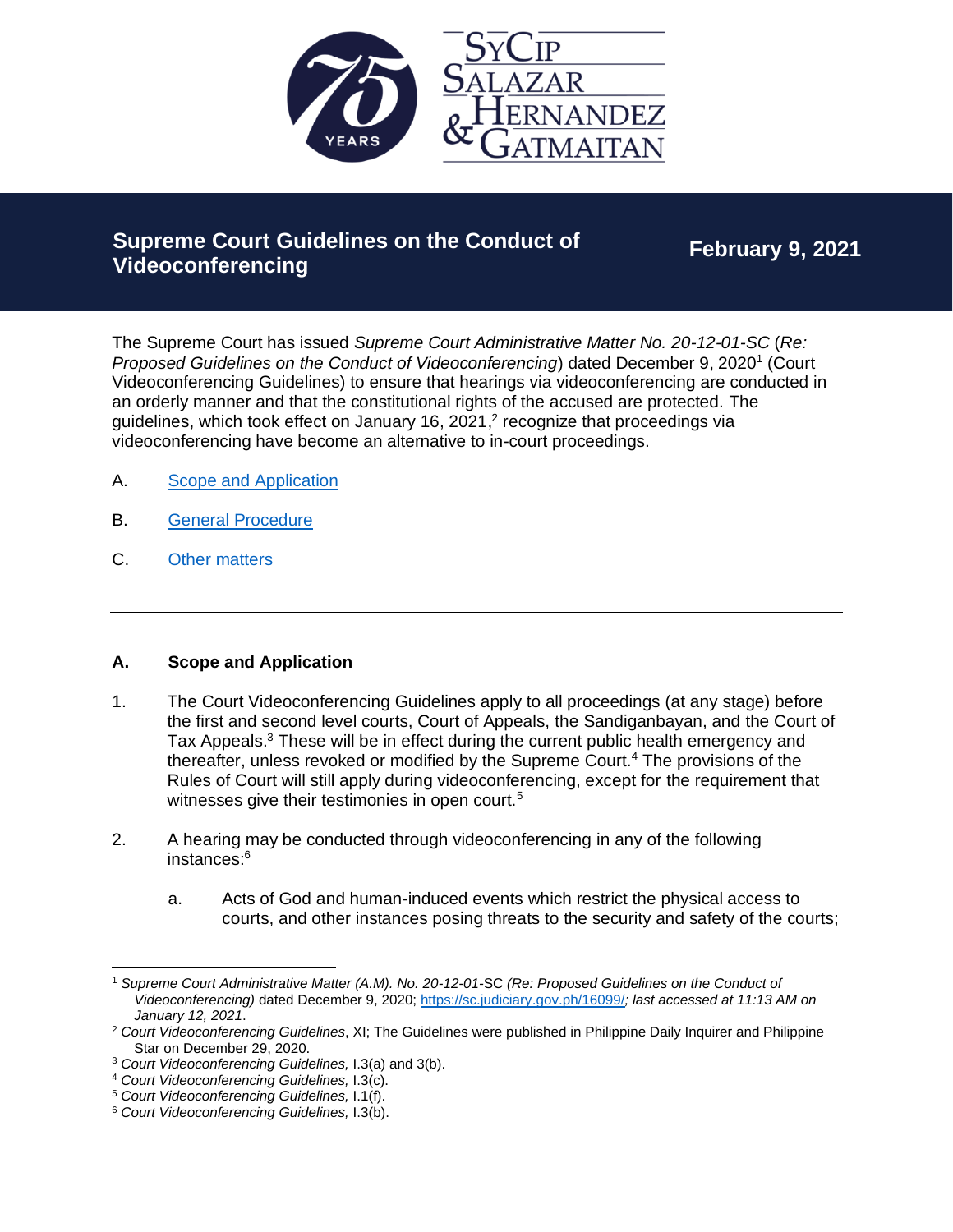

# **Supreme Court Guidelines on the Conduct of Videoconferencing**

**February 9, 2021**

The Supreme Court has issued *Supreme Court Administrative Matter No. 20-12-01-SC* (*Re:*  Proposed Guidelines on the Conduct of Videoconferencing) dated December 9, 2020<sup>1</sup> (Court Videoconferencing Guidelines) to ensure that hearings via videoconferencing are conducted in an orderly manner and that the constitutional rights of the accused are protected. The guidelines, which took effect on January 16, 2021, 2 recognize that proceedings via videoconferencing have become an alternative to in-court proceedings.

- A. [Scope and Application](#page-0-0)
- B. [General Procedure](#page-1-0)
- C. [Other matters](#page-3-0)

#### <span id="page-0-0"></span>**A. Scope and Application**

- 1. The Court Videoconferencing Guidelines apply to all proceedings (at any stage) before the first and second level courts, Court of Appeals, the Sandiganbayan, and the Court of Tax Appeals.<sup>3</sup> These will be in effect during the current public health emergency and thereafter, unless revoked or modified by the Supreme Court.<sup>4</sup> The provisions of the Rules of Court will still apply during videoconferencing, except for the requirement that witnesses give their testimonies in open court.<sup>5</sup>
- 2. A hearing may be conducted through videoconferencing in any of the following instances:<sup>6</sup>
	- a. Acts of God and human-induced events which restrict the physical access to courts, and other instances posing threats to the security and safety of the courts;

<sup>1</sup> *Supreme Court Administrative Matter (A.M). No. 20-12-01-*SC *(Re: Proposed Guidelines on the Conduct of Videoconferencing)* dated December 9, 2020;<https://sc.judiciary.gov.ph/16099/>*; last accessed at 11:13 AM on January 12, 2021*.

<sup>2</sup> *Court Videoconferencing Guidelines*, XI; The Guidelines were published in Philippine Daily Inquirer and Philippine Star on December 29, 2020.

<sup>3</sup> *Court Videoconferencing Guidelines,* I.3(a) and 3(b).

<sup>4</sup> *Court Videoconferencing Guidelines,* I.3(c).

<sup>5</sup> *Court Videoconferencing Guidelines,* I.1(f).

<sup>6</sup> *Court Videoconferencing Guidelines,* I.3(b).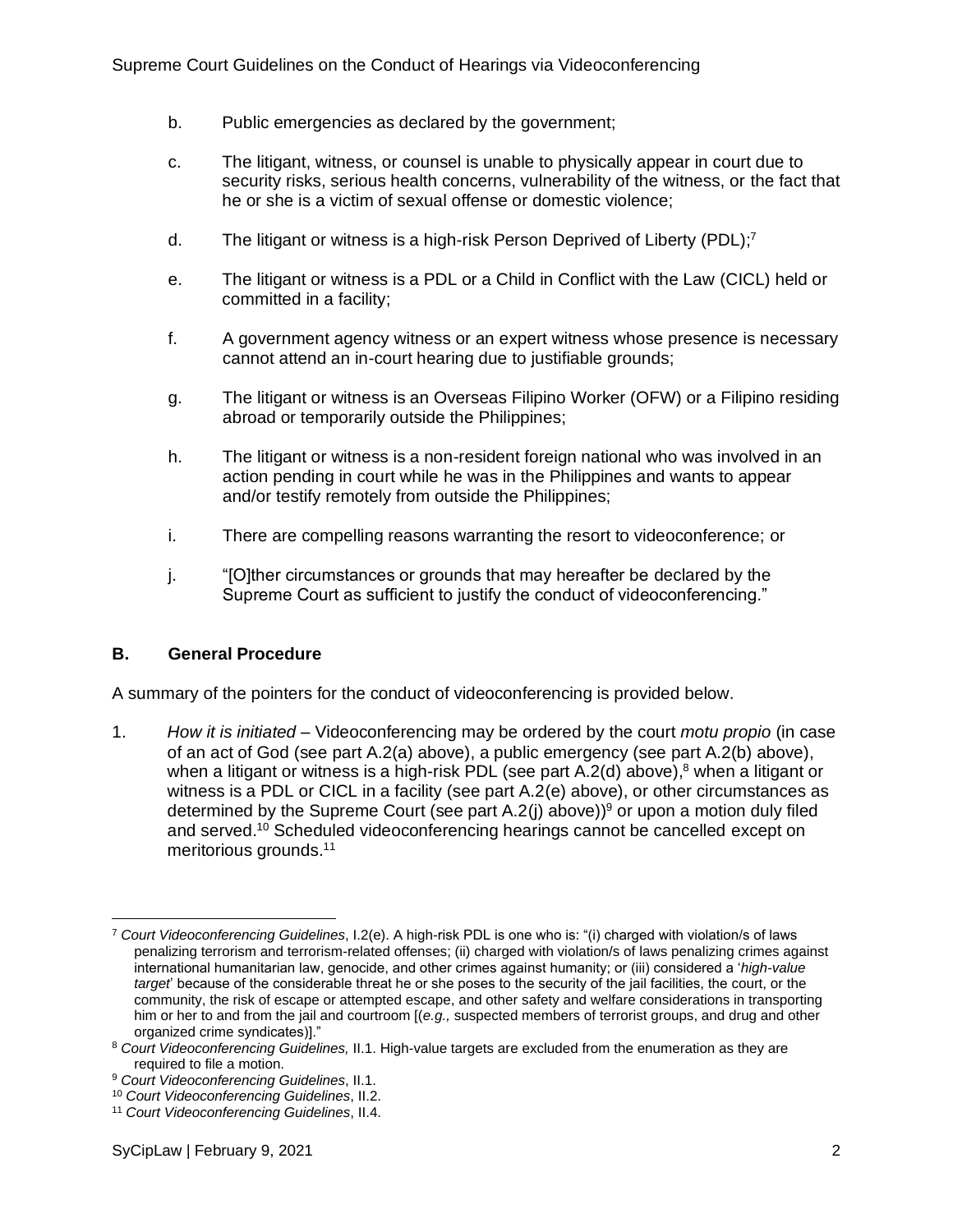- b. Public emergencies as declared by the government;
- c. The litigant, witness, or counsel is unable to physically appear in court due to security risks, serious health concerns, vulnerability of the witness, or the fact that he or she is a victim of sexual offense or domestic violence;
- d. The litigant or witness is a high-risk Person Deprived of Liberty (PDL);<sup>7</sup>
- e. The litigant or witness is a PDL or a Child in Conflict with the Law (CICL) held or committed in a facility;
- f. A government agency witness or an expert witness whose presence is necessary cannot attend an in-court hearing due to justifiable grounds;
- g. The litigant or witness is an Overseas Filipino Worker (OFW) or a Filipino residing abroad or temporarily outside the Philippines;
- h. The litigant or witness is a non-resident foreign national who was involved in an action pending in court while he was in the Philippines and wants to appear and/or testify remotely from outside the Philippines;
- i. There are compelling reasons warranting the resort to videoconference; or
- j. "[O]ther circumstances or grounds that may hereafter be declared by the Supreme Court as sufficient to justify the conduct of videoconferencing."

## <span id="page-1-0"></span>**B. General Procedure**

A summary of the pointers for the conduct of videoconferencing is provided below.

1. *How it is initiated* – Videoconferencing may be ordered by the court *motu propio* (in case of an act of God (see part A.2(a) above), a public emergency (see part A.2(b) above), when a litigant or witness is a high-risk PDL (see part A.2(d) above),<sup>8</sup> when a litigant or witness is a PDL or CICL in a facility (see part A.2(e) above), or other circumstances as determined by the Supreme Court (see part A.2(j) above)) <sup>9</sup> or upon a motion duly filed and served. <sup>10</sup> Scheduled videoconferencing hearings cannot be cancelled except on meritorious grounds.<sup>11</sup>

<sup>7</sup> *Court Videoconferencing Guidelines*, I.2(e). A high-risk PDL is one who is: "(i) charged with violation/s of laws penalizing terrorism and terrorism-related offenses; (ii) charged with violation/s of laws penalizing crimes against international humanitarian law, genocide, and other crimes against humanity; or (iii) considered a '*high-value target*' because of the considerable threat he or she poses to the security of the jail facilities, the court, or the community, the risk of escape or attempted escape, and other safety and welfare considerations in transporting him or her to and from the jail and courtroom [(*e.g.,* suspected members of terrorist groups, and drug and other organized crime syndicates)]."

<sup>&</sup>lt;sup>8</sup> Court Videoconferencing Guidelines, II.1. High-value targets are excluded from the enumeration as they are required to file a motion.

<sup>9</sup> *Court Videoconferencing Guidelines*, II.1.

<sup>10</sup> *Court Videoconferencing Guidelines*, II.2.

<sup>11</sup> *Court Videoconferencing Guidelines*, II.4.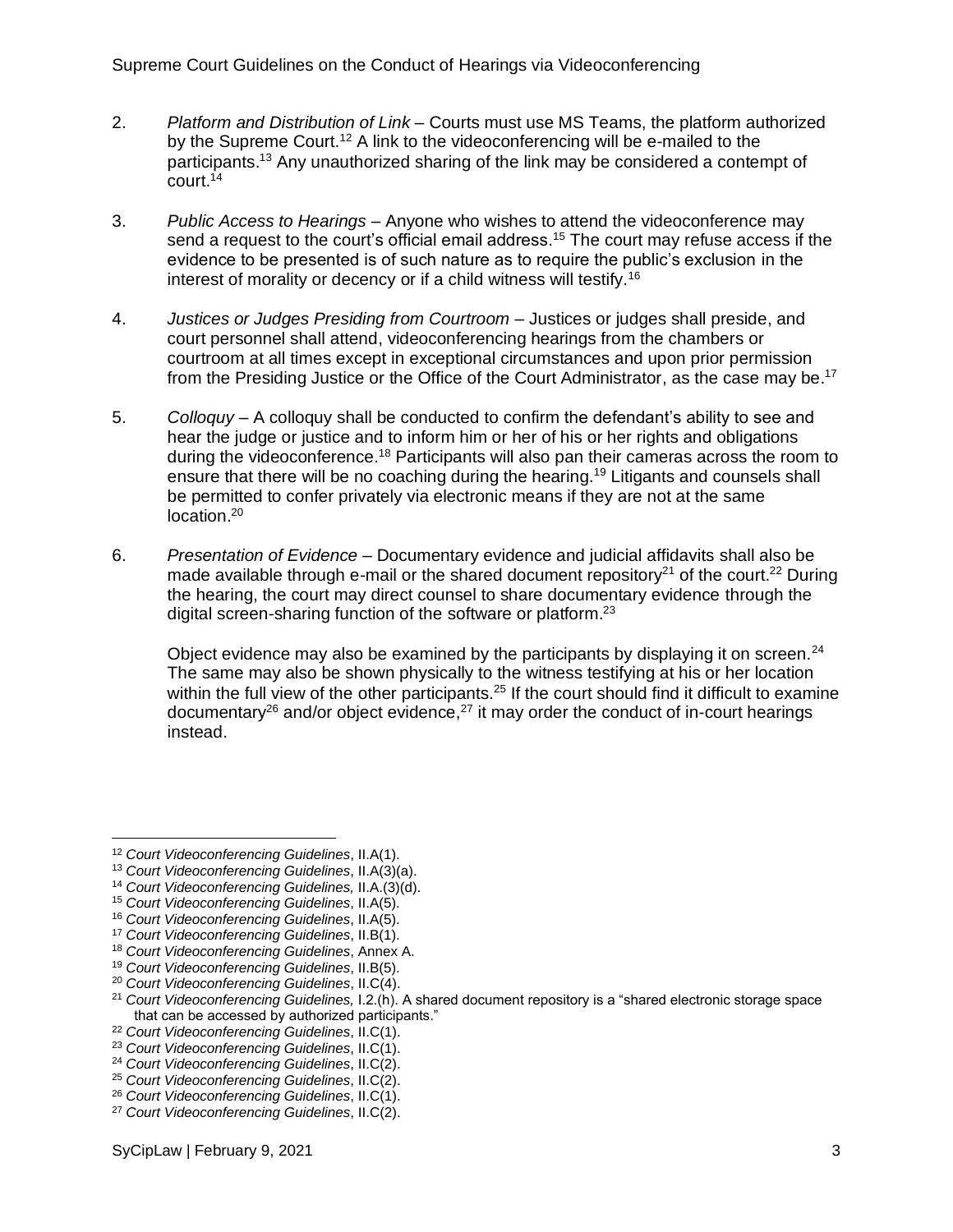- 2. *Platform and Distribution of Link* Courts must use MS Teams, the platform authorized by the Supreme Court.<sup>12</sup> A link to the videoconferencing will be e-mailed to the participants. <sup>13</sup> Any unauthorized sharing of the link may be considered a contempt of  $c$ ourt.<sup>14</sup>
- 3. *Public Access to Hearings* Anyone who wishes to attend the videoconference may send a request to the court's official email address. <sup>15</sup> The court may refuse access if the evidence to be presented is of such nature as to require the public's exclusion in the interest of morality or decency or if a child witness will testify.<sup>16</sup>
- 4. *Justices or Judges Presiding from Courtroom*  Justices or judges shall preside, and court personnel shall attend, videoconferencing hearings from the chambers or courtroom at all times except in exceptional circumstances and upon prior permission from the Presiding Justice or the Office of the Court Administrator, as the case may be.<sup>17</sup>
- 5. *Colloquy*  A colloquy shall be conducted to confirm the defendant's ability to see and hear the judge or justice and to inform him or her of his or her rights and obligations during the videoconference.<sup>18</sup> Participants will also pan their cameras across the room to ensure that there will be no coaching during the hearing.<sup>19</sup> Litigants and counsels shall be permitted to confer privately via electronic means if they are not at the same location.<sup>20</sup>
- 6. *Presentation of Evidence*  Documentary evidence and judicial affidavits shall also be made available through e-mail or the shared document repository<sup>21</sup> of the court.<sup>22</sup> During the hearing, the court may direct counsel to share documentary evidence through the digital screen-sharing function of the software or platform.<sup>23</sup>

Object evidence may also be examined by the participants by displaying it on screen.<sup>24</sup> The same may also be shown physically to the witness testifying at his or her location within the full view of the other participants.<sup>25</sup> If the court should find it difficult to examine documentary<sup>26</sup> and/or object evidence,<sup>27</sup> it may order the conduct of in-court hearings instead.

<sup>12</sup> *Court Videoconferencing Guidelines*, II.A(1).

<sup>13</sup> *Court Videoconferencing Guidelines*, II.A(3)(a).

<sup>14</sup> *Court Videoconferencing Guidelines,* II.A.(3)(d).

<sup>15</sup> *Court Videoconferencing Guidelines*, II.A(5).

<sup>16</sup> *Court Videoconferencing Guidelines*, II.A(5).

<sup>17</sup> *Court Videoconferencing Guidelines*, II.B(1).

<sup>18</sup> *Court Videoconferencing Guidelines*, Annex A.

<sup>19</sup> *Court Videoconferencing Guidelines*, II.B(5).

<sup>20</sup> *Court Videoconferencing Guidelines*, II.C(4).

<sup>21</sup> *Court Videoconferencing Guidelines,* I.2.(h). A shared document repository is a "shared electronic storage space that can be accessed by authorized participants."

<sup>22</sup> *Court Videoconferencing Guidelines*, II.C(1).

<sup>23</sup> *Court Videoconferencing Guidelines*, II.C(1).

<sup>24</sup> *Court Videoconferencing Guidelines*, II.C(2).

<sup>25</sup> *Court Videoconferencing Guidelines*, II.C(2).

<sup>26</sup> *Court Videoconferencing Guidelines*, II.C(1).

<sup>27</sup> *Court Videoconferencing Guidelines*, II.C(2).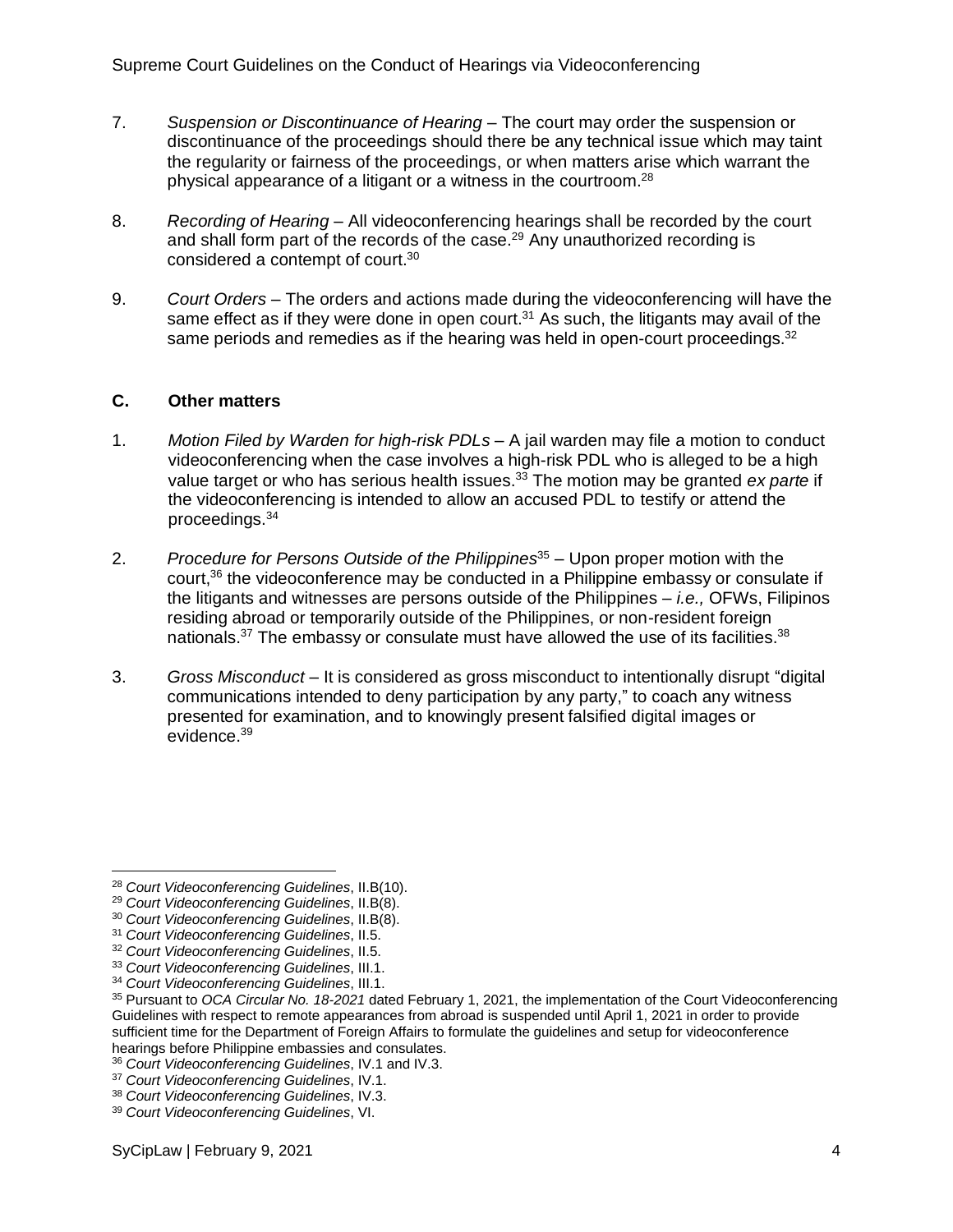- 7. *Suspension or Discontinuance of Hearing* The court may order the suspension or discontinuance of the proceedings should there be any technical issue which may taint the regularity or fairness of the proceedings, or when matters arise which warrant the physical appearance of a litigant or a witness in the courtroom.<sup>28</sup>
- 8. *Recording of Hearing*  All videoconferencing hearings shall be recorded by the court and shall form part of the records of the case.<sup>29</sup> Any unauthorized recording is considered a contempt of court.<sup>30</sup>
- 9. *Court Orders*  The orders and actions made during the videoconferencing will have the same effect as if they were done in open court.<sup>31</sup> As such, the litigants may avail of the same periods and remedies as if the hearing was held in open-court proceedings. $32$

### <span id="page-3-0"></span>**C. Other matters**

- 1. *Motion Filed by Warden for high-risk PDLs* A jail warden may file a motion to conduct videoconferencing when the case involves a high-risk PDL who is alleged to be a high value target or who has serious health issues. <sup>33</sup> The motion may be granted *ex parte* if the videoconferencing is intended to allow an accused PDL to testify or attend the proceedings.<sup>34</sup>
- 2. *Procedure for Persons Outside of the Philippines*<sup>35</sup> Upon proper motion with the court,<sup>36</sup> the videoconference may be conducted in a Philippine embassy or consulate if the litigants and witnesses are persons outside of the Philippines – *i.e.,* OFWs, Filipinos residing abroad or temporarily outside of the Philippines, or non-resident foreign nationals.<sup>37</sup> The embassy or consulate must have allowed the use of its facilities.<sup>38</sup>
- 3. *Gross Misconduct* It is considered as gross misconduct to intentionally disrupt "digital communications intended to deny participation by any party," to coach any witness presented for examination, and to knowingly present falsified digital images or evidence.<sup>39</sup>

<sup>28</sup> *Court Videoconferencing Guidelines*, II.B(10).

<sup>29</sup> *Court Videoconferencing Guidelines*, II.B(8).

<sup>30</sup> *Court Videoconferencing Guidelines*, II.B(8).

<sup>31</sup> *Court Videoconferencing Guidelines*, II.5.

<sup>32</sup> *Court Videoconferencing Guidelines*, II.5.

<sup>33</sup> *Court Videoconferencing Guidelines*, III.1.

<sup>34</sup> *Court Videoconferencing Guidelines*, III.1.

<sup>35</sup> Pursuant to *OCA Circular No. 18-2021* dated February 1, 2021, the implementation of the Court Videoconferencing Guidelines with respect to remote appearances from abroad is suspended until April 1, 2021 in order to provide sufficient time for the Department of Foreign Affairs to formulate the guidelines and setup for videoconference hearings before Philippine embassies and consulates.

<sup>36</sup> *Court Videoconferencing Guidelines*, IV.1 and IV.3.

<sup>37</sup> *Court Videoconferencing Guidelines*, IV.1.

<sup>38</sup> *Court Videoconferencing Guidelines*, IV.3.

<sup>39</sup> *Court Videoconferencing Guidelines*, VI.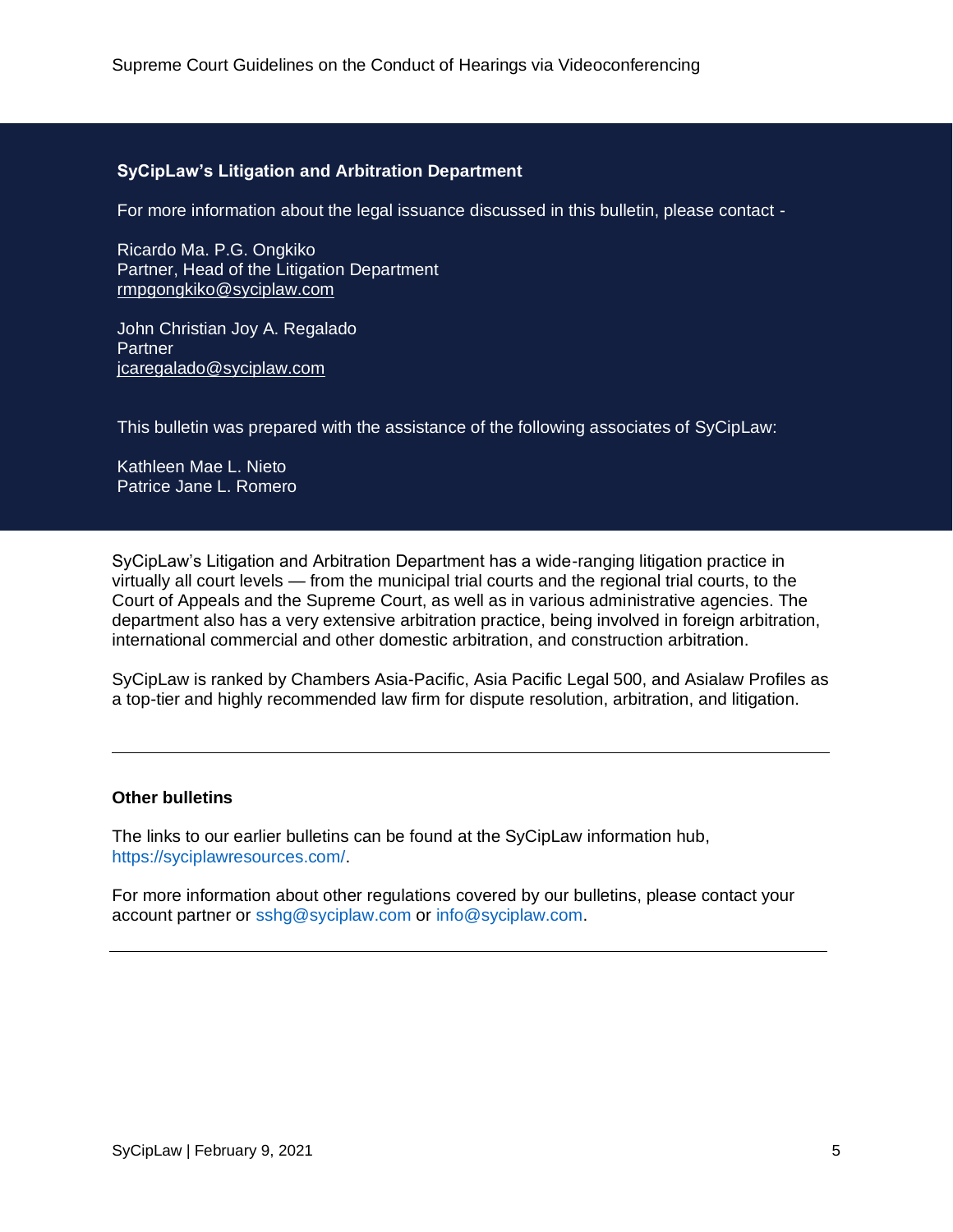#### **SyCipLaw's Litigation and Arbitration Department**

For more information about the legal issuance discussed in this bulletin, please contact -

Ricardo Ma. P.G. Ongkiko Partner, Head of the Litigation Department rmpgongkiko@syciplaw.com

John Christian Joy A. Regalado **Partner** jcaregalado@syciplaw.com

This bulletin was prepared with the assistance of the following associates of SyCipLaw:

Kathleen Mae L. Nieto Patrice Jane L. Romero

SyCipLaw's Litigation and Arbitration Department has a wide-ranging litigation practice in virtually all court levels — from the municipal trial courts and the regional trial courts, to the Court of Appeals and the Supreme Court, as well as in various administrative agencies. The department also has a very extensive arbitration practice, being involved in foreign arbitration, international commercial and other domestic arbitration, and construction arbitration.

SyCipLaw is ranked by Chambers Asia-Pacific, Asia Pacific Legal 500, and Asialaw Profiles as a top-tier and highly recommended law firm for dispute resolution, arbitration, and litigation.

#### **Other bulletins**

The links to our earlier bulletins can be found at the SyCipLaw information hub, [https://syciplawresources.com/.](https://syciplawresources.com/)

For more information about other regulations covered by our bulletins, please contact your account partner or [sshg@syciplaw.com](mailto:sshg@syciplaw.com) or [info@syciplaw.com.](mailto:info@syciplaw.com)